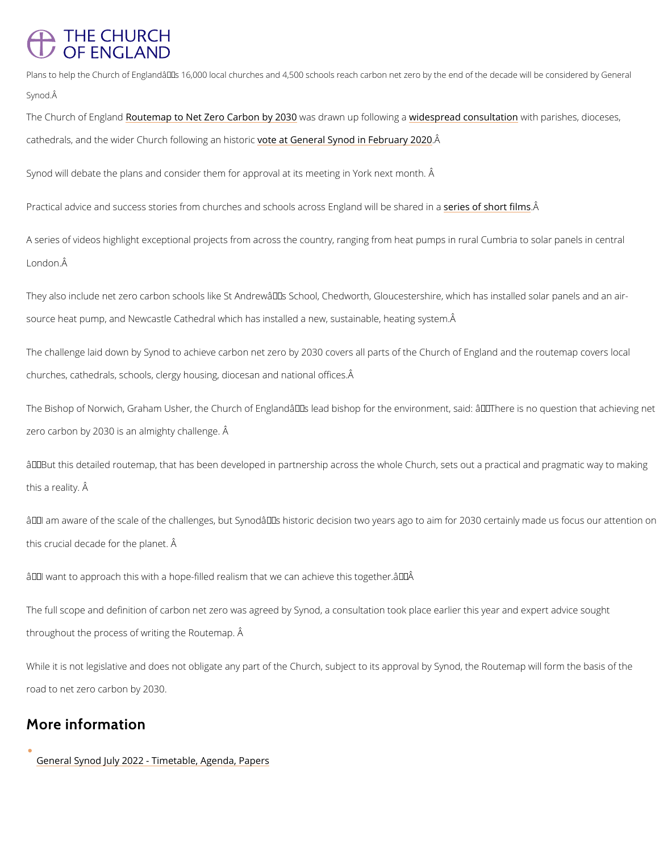## **THE CHURCH OF ENGLAND**

Plans to help the Church of England  $\hat{\epsilon}^{\tau_{M}}$ s 16,000 local churches and 4,500 schools reach carbon net zer Synod.  $\hat{A}$ 

The Church of Elogitarmodap to Net Zero Carbowans boly a2n0n3 Qup followhind weismogreaad consuntiantiparishes, dioce cathedrals, and the wider Church food**le**wain **Gemehast Syncod in Fêbruary 2020** 

Synod will debate the plans and consider them for approval at its meeting in York next month

Practical advice and success stories from churches and schooderaces oosfs shoon a find the share  $P$ 

A series of videos highlight exceptional projects from across the country, ranging from heat London.  $\hat{A}$ 

They also include net zero carbon schools like St Andrew's School, Chedworth, Glouceste source heat pump, and Newcastle Cathedral which has installed a new, sustainable, heating

The challenge laid down by Synod to achieve carbon net zero by 2030 covers all parts of the churches, cathedrals, schools, clergy housing, diocesan and national offices.

The Bishop of Norwich, Graham Usher, the Church of Englandâ $\epsilon$ <sup>TM</sup>s lead bishop for the enviro zero carbon by 2030 is an almighty challenge. Â

 $\hat{a} \in \infty$  But this detailed routemap, that has been developed in partnership across the whole Chu this a reality. Â

 $\hat{\mathbf{a}} \in \mathbf{\infty}$  am aware of the scale of the challenges, but Synod $\hat{\mathbf{a}} \in \mathbb{M}$ s historic decision two years ag this crucial decade for the planet. Â

 $\hat{\mathsf{a}} \in \mathsf{ce}$ l want to approach this with a hope-filled realism that we can achieve this together. $\hat{\mathsf{a}} \in \hat{\mathsf{A}}$ 

The full scope and definition of carbon net zero was agreed by Synod, a consultation took pl

throughout the process of writing the Routemap. Â

While it is not legislative and does not obligate any part of the Church, subject to its approv

road to net zero carbon by 2030.

## More information

[General Synod July 2022 - Timetab](https://www.churchofengland.org/about/leadership-and-governance/general-synod/general-synod-july-2022)le, Agenda, Papers